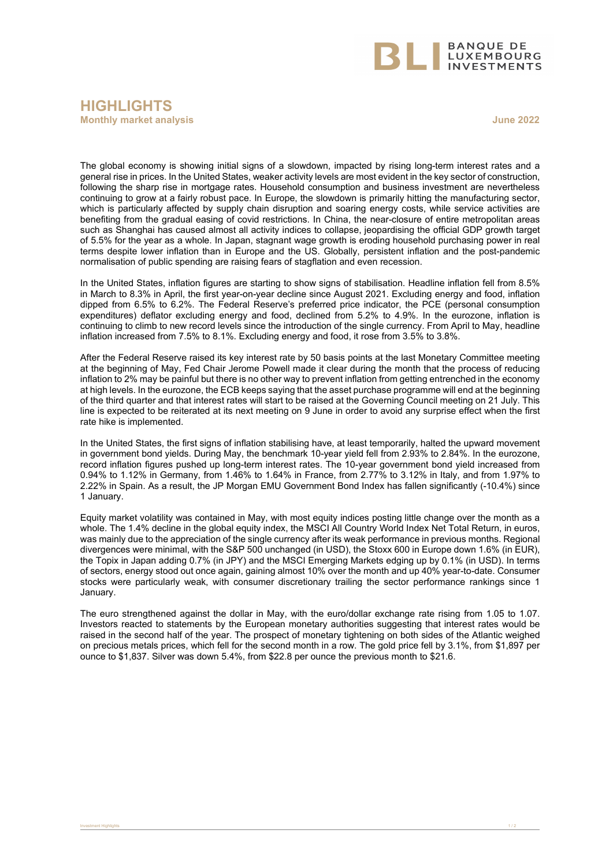

## **HIGHLIGHTS Monthly market analysis June 2022**

The global economy is showing initial signs of a slowdown, impacted by rising long-term interest rates and a general rise in prices. In the United States, weaker activity levels are most evident in the key sector of construction, following the sharp rise in mortgage rates. Household consumption and business investment are nevertheless continuing to grow at a fairly robust pace. In Europe, the slowdown is primarily hitting the manufacturing sector, which is particularly affected by supply chain disruption and soaring energy costs, while service activities are benefiting from the gradual easing of covid restrictions. In China, the near-closure of entire metropolitan areas such as Shanghai has caused almost all activity indices to collapse, jeopardising the official GDP growth target of 5.5% for the year as a whole. In Japan, stagnant wage growth is eroding household purchasing power in real terms despite lower inflation than in Europe and the US. Globally, persistent inflation and the post-pandemic normalisation of public spending are raising fears of stagflation and even recession.

In the United States, inflation figures are starting to show signs of stabilisation. Headline inflation fell from 8.5% in March to 8.3% in April, the first year-on-year decline since August 2021. Excluding energy and food, inflation dipped from 6.5% to 6.2%. The Federal Reserve's preferred price indicator, the PCE (personal consumption expenditures) deflator excluding energy and food, declined from 5.2% to 4.9%. In the eurozone, inflation is continuing to climb to new record levels since the introduction of the single currency. From April to May, headline inflation increased from 7.5% to 8.1%. Excluding energy and food, it rose from 3.5% to 3.8%.

After the Federal Reserve raised its key interest rate by 50 basis points at the last Monetary Committee meeting at the beginning of May, Fed Chair Jerome Powell made it clear during the month that the process of reducing inflation to 2% may be painful but there is no other way to prevent inflation from getting entrenched in the economy at high levels. In the eurozone, the ECB keeps saying that the asset purchase programme will end at the beginning of the third quarter and that interest rates will start to be raised at the Governing Council meeting on 21 July. This line is expected to be reiterated at its next meeting on 9 June in order to avoid any surprise effect when the first rate hike is implemented.

In the United States, the first signs of inflation stabilising have, at least temporarily, halted the upward movement in government bond yields. During May, the benchmark 10-year yield fell from 2.93% to 2.84%. In the eurozone, record inflation figures pushed up long-term interest rates. The 10-year government bond yield increased from 0.94% to 1.12% in Germany, from 1.46% to 1.64% in France, from 2.77% to 3.12% in Italy, and from 1.97% to 2.22% in Spain. As a result, the JP Morgan EMU Government Bond Index has fallen significantly (-10.4%) since 1 January.

Equity market volatility was contained in May, with most equity indices posting little change over the month as a whole. The 1.4% decline in the global equity index, the MSCI All Country World Index Net Total Return, in euros, was mainly due to the appreciation of the single currency after its weak performance in previous months. Regional divergences were minimal, with the S&P 500 unchanged (in USD), the Stoxx 600 in Europe down 1.6% (in EUR), the Topix in Japan adding 0.7% (in JPY) and the MSCI Emerging Markets edging up by 0.1% (in USD). In terms of sectors, energy stood out once again, gaining almost 10% over the month and up 40% year-to-date. Consumer stocks were particularly weak, with consumer discretionary trailing the sector performance rankings since 1 January.

The euro strengthened against the dollar in May, with the euro/dollar exchange rate rising from 1.05 to 1.07. Investors reacted to statements by the European monetary authorities suggesting that interest rates would be raised in the second half of the year. The prospect of monetary tightening on both sides of the Atlantic weighed on precious metals prices, which fell for the second month in a row. The gold price fell by 3.1%, from \$1,897 per ounce to \$1,837. Silver was down 5.4%, from \$22.8 per ounce the previous month to \$21.6.